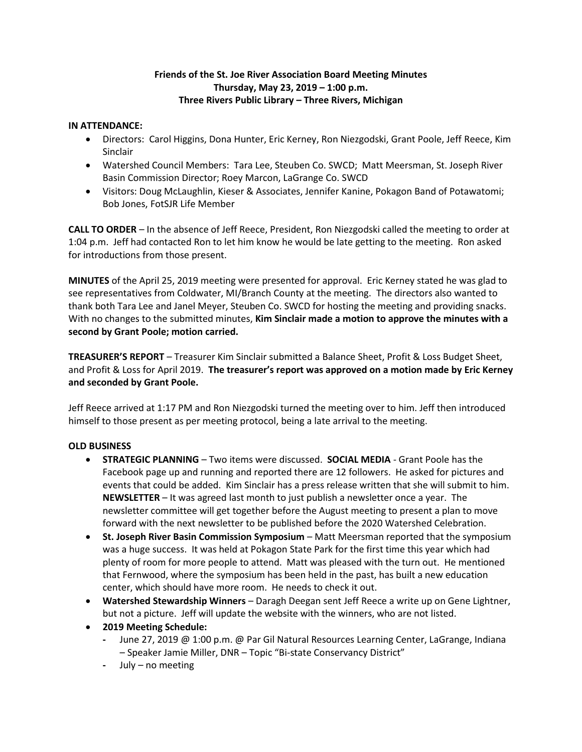# **Friends of the St. Joe River Association Board Meeting Minutes Thursday, May 23, 2019 – 1:00 p.m. Three Rivers Public Library – Three Rivers, Michigan**

### **IN ATTENDANCE:**

- Directors: Carol Higgins, Dona Hunter, Eric Kerney, Ron Niezgodski, Grant Poole, Jeff Reece, Kim Sinclair
- Watershed Council Members: Tara Lee, Steuben Co. SWCD; Matt Meersman, St. Joseph River Basin Commission Director; Roey Marcon, LaGrange Co. SWCD
- Visitors: Doug McLaughlin, Kieser & Associates, Jennifer Kanine, Pokagon Band of Potawatomi; Bob Jones, FotSJR Life Member

**CALL TO ORDER** – In the absence of Jeff Reece, President, Ron Niezgodski called the meeting to order at 1:04 p.m. Jeff had contacted Ron to let him know he would be late getting to the meeting. Ron asked for introductions from those present.

**MINUTES** of the April 25, 2019 meeting were presented for approval. Eric Kerney stated he was glad to see representatives from Coldwater, MI/Branch County at the meeting. The directors also wanted to thank both Tara Lee and Janel Meyer, Steuben Co. SWCD for hosting the meeting and providing snacks. With no changes to the submitted minutes, **Kim Sinclair made a motion to approve the minutes with a second by Grant Poole; motion carried.** 

**TREASURER'S REPORT** – Treasurer Kim Sinclair submitted a Balance Sheet, Profit & Loss Budget Sheet, and Profit & Loss for April 2019. **The treasurer's report was approved on a motion made by Eric Kerney and seconded by Grant Poole.** 

Jeff Reece arrived at 1:17 PM and Ron Niezgodski turned the meeting over to him. Jeff then introduced himself to those present as per meeting protocol, being a late arrival to the meeting.

# **OLD BUSINESS**

- **STRATEGIC PLANNING** Two items were discussed. **SOCIAL MEDIA** Grant Poole has the Facebook page up and running and reported there are 12 followers. He asked for pictures and events that could be added. Kim Sinclair has a press release written that she will submit to him. **NEWSLETTER** – It was agreed last month to just publish a newsletter once a year. The newsletter committee will get together before the August meeting to present a plan to move forward with the next newsletter to be published before the 2020 Watershed Celebration.
- **St. Joseph River Basin Commission Symposium** Matt Meersman reported that the symposium was a huge success. It was held at Pokagon State Park for the first time this year which had plenty of room for more people to attend. Matt was pleased with the turn out. He mentioned that Fernwood, where the symposium has been held in the past, has built a new education center, which should have more room. He needs to check it out.
- **Watershed Stewardship Winners**  Daragh Deegan sent Jeff Reece a write up on Gene Lightner, but not a picture. Jeff will update the website with the winners, who are not listed.
- **2019 Meeting Schedule:**
	- **-** June 27, 2019 @ 1:00 p.m. @ Par Gil Natural Resources Learning Center, LaGrange, Indiana – Speaker Jamie Miller, DNR – Topic "Bi-state Conservancy District"
	- **-** July no meeting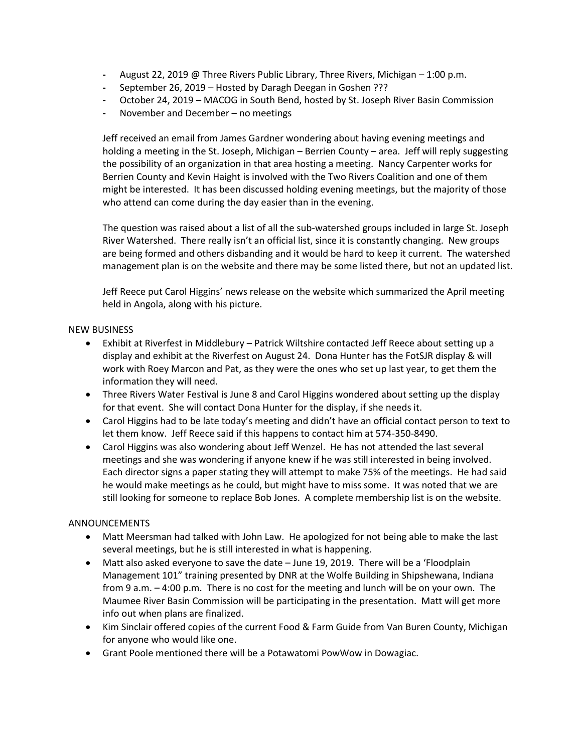- **-** August 22, 2019 @ Three Rivers Public Library, Three Rivers, Michigan 1:00 p.m.
- **-** September 26, 2019 Hosted by Daragh Deegan in Goshen ???
- **-** October 24, 2019 MACOG in South Bend, hosted by St. Joseph River Basin Commission
- **-** November and December no meetings

Jeff received an email from James Gardner wondering about having evening meetings and holding a meeting in the St. Joseph, Michigan – Berrien County – area. Jeff will reply suggesting the possibility of an organization in that area hosting a meeting. Nancy Carpenter works for Berrien County and Kevin Haight is involved with the Two Rivers Coalition and one of them might be interested. It has been discussed holding evening meetings, but the majority of those who attend can come during the day easier than in the evening.

The question was raised about a list of all the sub-watershed groups included in large St. Joseph River Watershed. There really isn't an official list, since it is constantly changing. New groups are being formed and others disbanding and it would be hard to keep it current. The watershed management plan is on the website and there may be some listed there, but not an updated list.

Jeff Reece put Carol Higgins' news release on the website which summarized the April meeting held in Angola, along with his picture.

### NEW BUSINESS

- Exhibit at Riverfest in Middlebury Patrick Wiltshire contacted Jeff Reece about setting up a display and exhibit at the Riverfest on August 24. Dona Hunter has the FotSJR display & will work with Roey Marcon and Pat, as they were the ones who set up last year, to get them the information they will need.
- Three Rivers Water Festival is June 8 and Carol Higgins wondered about setting up the display for that event. She will contact Dona Hunter for the display, if she needs it.
- Carol Higgins had to be late today's meeting and didn't have an official contact person to text to let them know. Jeff Reece said if this happens to contact him at 574-350-8490.
- Carol Higgins was also wondering about Jeff Wenzel. He has not attended the last several meetings and she was wondering if anyone knew if he was still interested in being involved. Each director signs a paper stating they will attempt to make 75% of the meetings. He had said he would make meetings as he could, but might have to miss some. It was noted that we are still looking for someone to replace Bob Jones. A complete membership list is on the website.

# ANNOUNCEMENTS

- Matt Meersman had talked with John Law. He apologized for not being able to make the last several meetings, but he is still interested in what is happening.
- Matt also asked everyone to save the date June 19, 2019. There will be a 'Floodplain Management 101" training presented by DNR at the Wolfe Building in Shipshewana, Indiana from 9 a.m. – 4:00 p.m. There is no cost for the meeting and lunch will be on your own. The Maumee River Basin Commission will be participating in the presentation. Matt will get more info out when plans are finalized.
- Kim Sinclair offered copies of the current Food & Farm Guide from Van Buren County, Michigan for anyone who would like one.
- Grant Poole mentioned there will be a Potawatomi PowWow in Dowagiac.